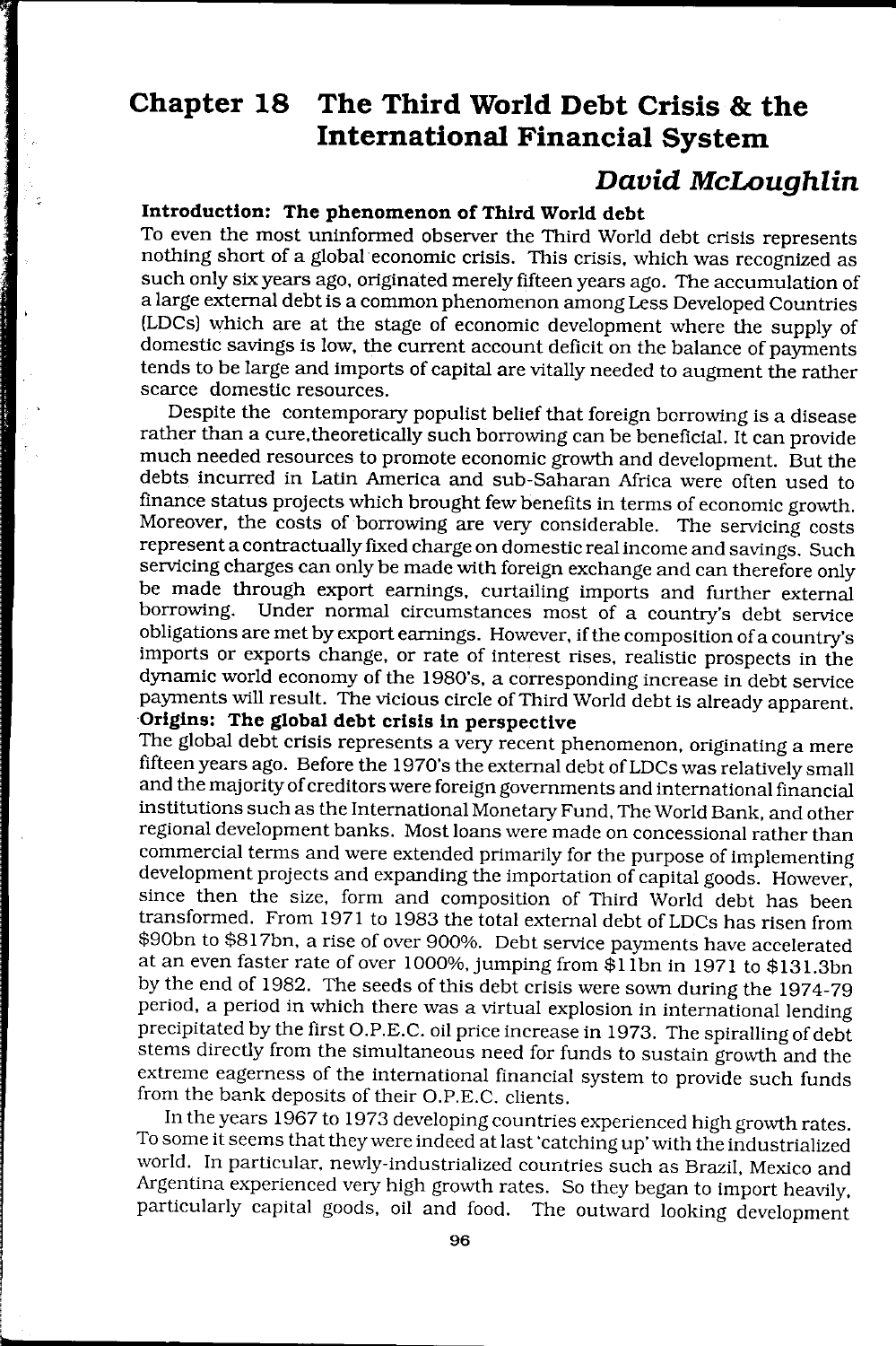# **Chapter 18 The Third World Debt Crisis & the International Financial System**

## **David McLoughlin**

#### **Introduction: The phenomenon of Third World debt**

To even the most uninformed observer the Third World debt crisis represents nothing short of a global economic crisis. This crisis. which was recognized as such only six years ago. originated merely fifteen years ago. The accumulation of a large external debt is a common phenomenon among Less Developed Countries (LDCs) which are at the stage of economic development where the supply of domestic savings is low. the current account deficit on the balance of payments tends to be large and imports of capital are vitally needed to augment the rather scarce domestic resources.

Despite the contemporary populist belief that foreign borrowing is a disease rather than a cure. theoretically such borrowing can be beneficial. It can provide much needed resources to promote economic growth and development. But the debts incurred in Latin America and sub-Saharan Africa were often used to finance status projects which brought few benefits in terms of economic growth. Moreover. the costs of borrowing are very considerable. The servicing costs represent a contractually fixed charge on domestic real income and savings. Such servicing charges can only be made with foreign exchange and can therefore only be made through export earnings. curtailing imports and further external borrowing. Under normal circumstances most of a country's debt service obligations are met by export earnings. However. if the composition of a country's imports or exports change. or rate of interest rises. realistic prospects in the dynamic world economy of the 1980·s. a corresponding increase in debt service payments will result. The vicious circle of Third World debt is already apparent. **Origins: The global debt crisis in perspective** 

The global debt crisis represents a very recent phenomenon. originating a mere fifteen years ago. Before the 1970's the external debt of LDCs was relatively small and the majority of creditors were foreign governments and international financial institutions such as the International Monetary Fund. The World Bank. and other regional development banks. Most loans were made on concessional rather than commercial terms and were extended primarily for the purpose of implementing development projects and expanding the importation of capital goods. However. since then the size. form and composition of Third World debt has been transformed. From 1971 to 1983 the total external debt of LDCs has risen from \$90bn to \$817bn. a rise of over 900%. Debt service payments have accelerated at an even faster rate of over 1000%. jumping from \$llbn in 1971 to \$131.3bn by the end of 1982. The seeds of this debt crisis were sown during the 1974-79 period. a period in which there was a virtual explosion in international lending precipitated by the first O.P.E.C. oil price increase in 1973. The spiralling of debt stems directly from the Simultaneous need for funds to sustain growth and the extreme eagerness of the international financial system to provide such funds from the bank deposits of their O.P.E.C. clients.

In the years 1967 to 1973 developing countries experienced high growth rates. To some it seems that they were indeed at last 'catching up' with the industrialized world. In particular. newly-industrialized countries such as Brazil. Mexico and Argentina experienced very high growth rates. So they began to import heavily. particularly capital goods. oil and food. The outward looking development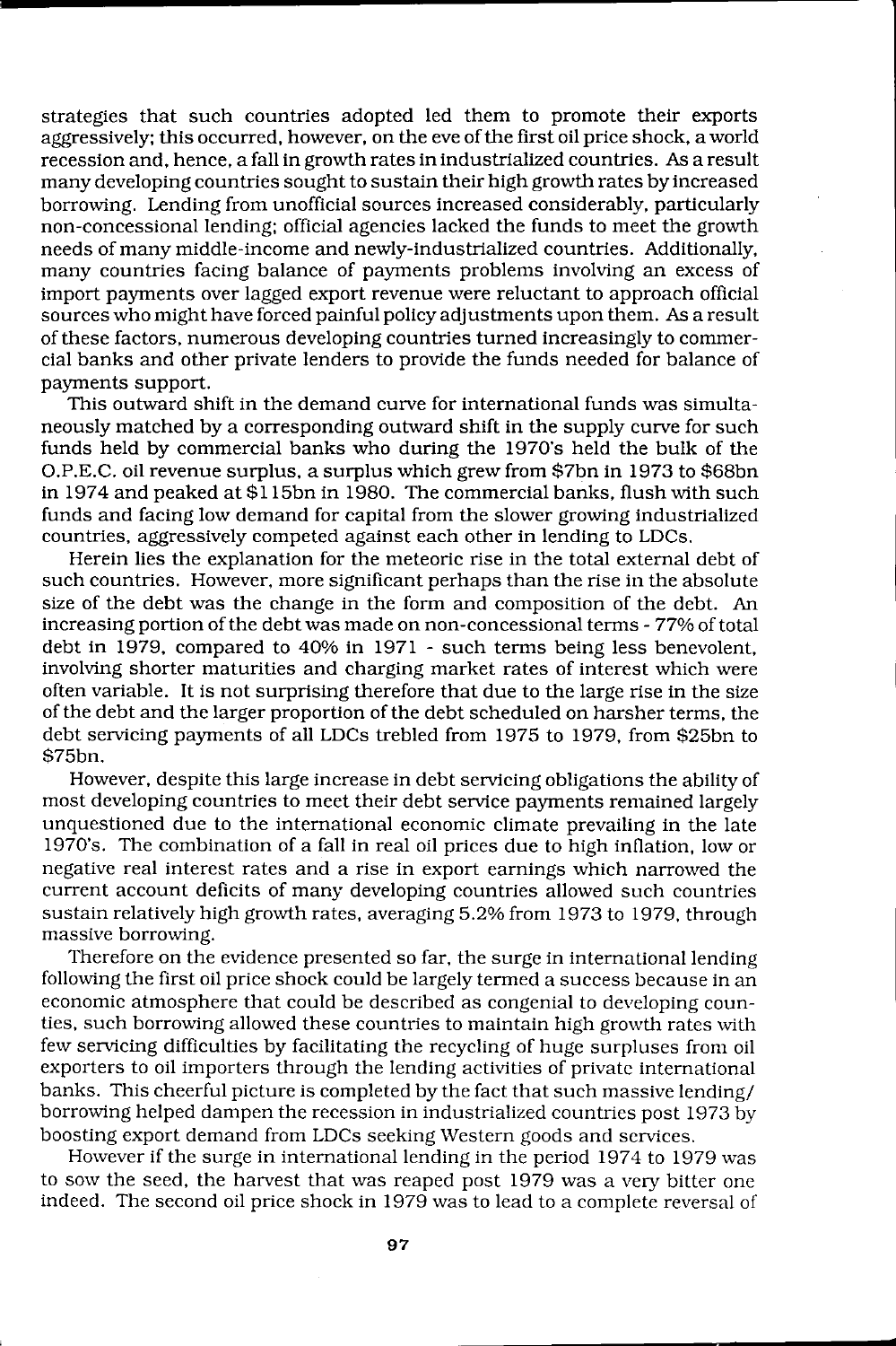strategies that such countries adopted led them to promote their exports aggressively; this occurred. however. on the eve of the first oil price shock. a world recession and. hence. a fall in growth rates in industrialized countries. As a result many developing countries sought to sustain their high growth rates by increased borrowing. Lending from unofficial sources increased considerably. particularly non-concessionallending; official agencies lacked the funds to meet the growth needs of many middle-income and newly-industrialized countries. Additionally. many countries facing balance of payments problems involving an excess of import payments over lagged export revenue were reluctant to approach official sources who might have forced painful policy adjustments upon them. As a result of these factors. numerous developing countries turned increasingly to commercial banks and other private lenders to provide the funds needed for balance of payments support.

This outward shift in the demand curve for international funds was simultaneously matched by a corresponding outward shift in the supply curve for such funds held by commercial banks who during the 1970's held the bulk of the O.P.E.C. oil revenue surplus. a surplus which grew from \$7bn in 1973 to \$68bn in 1974 and peaked at \$115bn in 1980. The commercial banks. flush with such funds and facing low demand for capital from the slower growing industrialized countries. aggressively competed against each other in lending to LDCs.

Herein lies the explanation for the meteoric rise in the total external debt of such countries. However. more significant perhaps than the rise in the absolute size of the debt was the change in the form and composition of the debt. An increasing portion of the debt was made on non-concessional terms - 77% of total debt in 1979. compared to 40% in 1971 - such terms being less benevolent. involving shorter maturities and charging market rates of interest which were often variable. It is not surprising therefore that due to the large rise in the size of the debt and the larger proportion of the debt scheduled on harsher terms. the debt servicing payments of all LDCs trebled from 1975 to 1979. from \$25bn to \$75bn.

However. despite this large increase in debt servicing obligations the ability of most developing countries to meet their debt service payments remained largely unquestioned due to the international economic climate prevailing in the late 1970·s. The combination of a fall in real oil prices due to high inflation. low or negative real interest rates and a rise in export earnings which narrowed the current account deficits of many developing countries allowed such countries sustain relatively high growth rates. averaging 5.2% from 1973 to 1979. through massive borrowing.

Therefore on the evidence presented so far. the surge in international lending following the first oil price shock could be largely termed a success because in an economic atmosphere that could be described as congenial to developing counties. such borrowing allowed these countries to maintain high growth rates with few servicing difficulties by facilitating the recycling of huge surpluses from oil exporters to oil importers through the lending activities of privatc international banks. This cheerful picture is completed by the fact that such massive lending/ borrowing helped dampen the recession in industrialized countries post 1973 by boosting export demand from LDCs seeking Western goods and services.

However if the surge in international lending in the period 1974 to 1979 was to sow the seed. the harvest that was reaped post 1979 was a very bitter one indeed. The second oil price shock in 1979 was to lead to a complete reversal of

**s**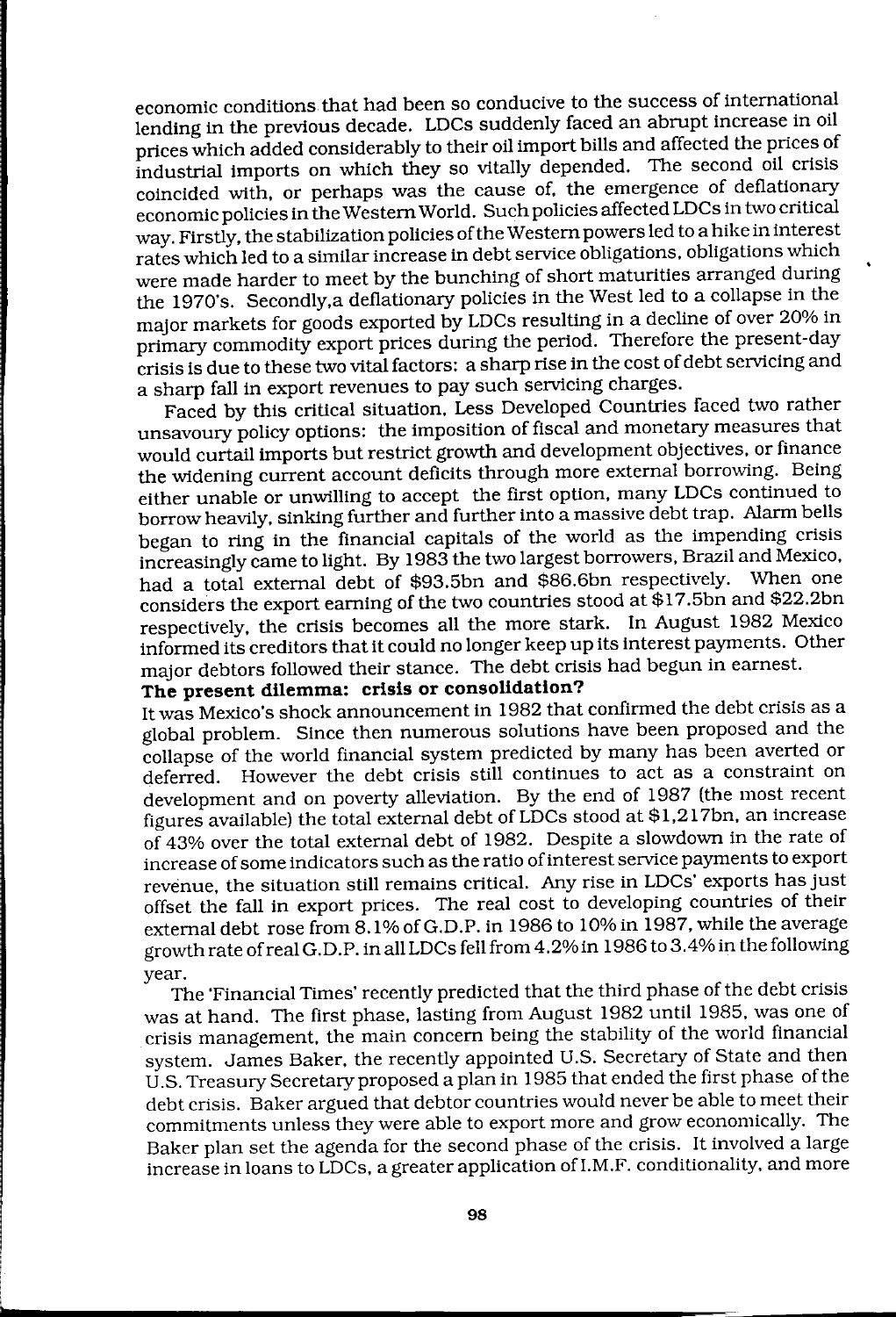economic conditions that had been so conducive to the success of international lending in the previous decade. LDCs suddenly faced an abrupt increase in oil prices which added considerably to their oil import bills and affected the prices of industrial imports on which they so vitally depended. The second oil crisis coincided with, or perhaps was the cause of, the emergence of deflationary economic policies in the Western World. Such policies affected LDCs in two critical way. Firstly, the stabilization policies of the Western powers led to a hike in interest rates which led to a similar increase in debt service obligations, obligations which were made harder to meet by the bunching of short maturities arranged during the 1970's. Secondly, a deflationary policies in the West led to a collapse in the major markets for goods exported by LDCs resulting in a decline of over 20% in primary commodity export prices during the period. Therefore the present-day crisis is due to these two vital factors: a sharp rise in the cost of debt servicing and a sharp fall in export revenues to pay such servicing charges.

Faced by this Critical situation, Less Developed Countries faced two rather unsavoury policy options: the imposition of fiscal and monetary measures that would curtail imports but restrict growth and development objectives. or finance the widening current account deficits through more external borrowing. Being either unable or unwilling to accept the first option, many LDCs continued to borrow heavily. Sinking further and further into a massive debt trap. Alarm bells began to ring in the financial capitals of the world as the impending crisis increasingly came to light. By 1983 the two largest borrowers, Brazil and Mexico, had a total external debt of \$93.5bn and \$86.6bn respectively. When one considers the export earning of the two countries stood at \$17.5bn and \$22.2bn respectively, the crisis becomes all the more stark. In August 1982 Mexico informed its creditors that it could no longer keep up its interest payments. Other major debtors followed their stance. The debt crisis had begun in earnest.

#### **The present dilemma: crisis or consolidation?**

It was Mexico's shock announcement in 1982 that confirmed the debt crisis as a global problem. Since then numerous solutions have been proposed and the collapse of the world financial system predicted by many has been averted or deferred. However the debt crisis still continues to act as a constraint on development and on poverty alleviation. By the end of 1987 (the most recent figures available) the total external debt of LDCs stood at \$1,217bn, an increase of 43% over the total external debt of 1982. Despite a slowdown in the rate of increase of some indicators such as the ratio of interest service payments to export revenue. the Situation still remains critical. Any rise in LDCs' exports has just offset the fall in export prices. The real cost to developing countries of their external debt rose from 8.1% of G.D.P. in 1986 to 10% in 1987, while the average growth rate of real G.D.P. in all LDCs fell from 4.2%in 1986 to 3.4% in the following year.

The 'Financial Times' recently predicted that the third phase of the debt crisis was at hand. The first phase, lasting from August 1982 until 1985, was one of crisis management, the main concern being the stability of the world financial system. James Baker. the recently appointed U.S. Secretary of State and then U .S. Treasury Secretary proposed a plan in 1985 that ended the first phase of the debt crisis. Baker argued that debtor countries would never be able to meet their commitments unless they were able to export more and grow economically. The Baker plan set the agenda for the second phase of the crisis. It involved a large increase in loans to LDCs, a greater application ofI.M.F. conditionality, and more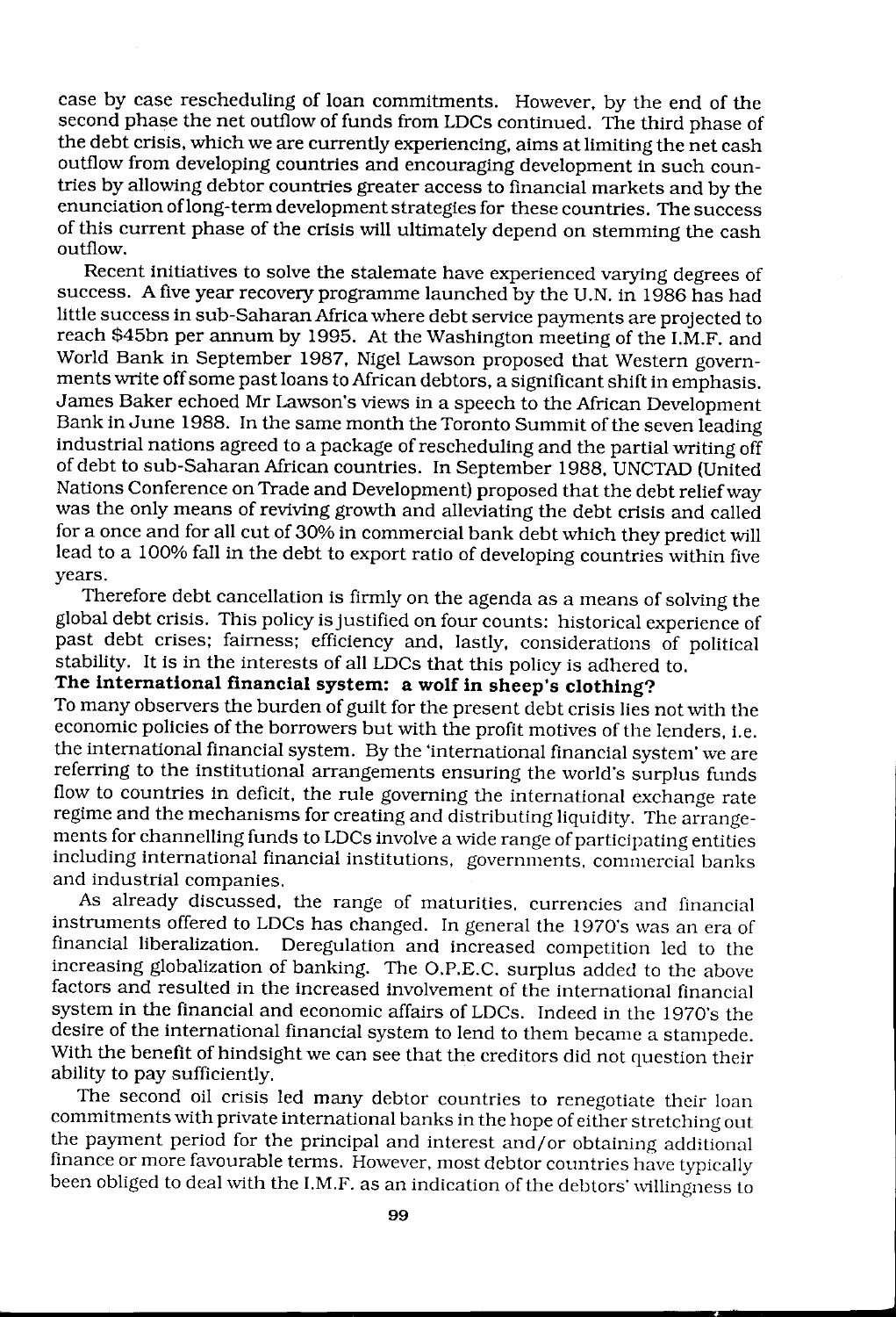case by case rescheduling of loan commitments. However, by the end of the second phase the net outflow of funds from LDCs continued. The third phase of the debt crisis, which we are currently experiencing, aims at limiting the net cash outflow from developing countries and encouraging development in such countries by allowing debtor countries greater access to financial markets and by the enunciation oflong-term development strategies for these countries. The success of this current phase of the crisis will ultimately depend on stemming the cash outflow.

Recent initiatives to solve the stalemate have experienced varying degrees of success. A five year recovery programme launched by the U.N. in 1986 has had little success in sub-Saharan Africa where debt service payments are projected to reach \$45bn per annum by 1995. At the Washington meeting of the I.M.F. and World Bank in September 1987, Nigel Lawson proposed that Western governments write off some past loans to African debtors, a Significant shift in emphasis. James Baker echoed Mr Lawson's views in a speech to the African Development Bank in June 1988. In the same month the Toronto Summit of the seven leading industrial nations agreed to a package of rescheduling and the partial writing off of debt to sub-Saharan African countries. In September 1988, UNCTAD (United Nations Conference on Trade and Development) proposed that the debt relief way was the only means of reviving growth and alleviating the debt crisis and called for a once and for all cut of 30% in commercial bank debt which they predict will lead to a 100% fall in the debt to export ratio of developing countries within five years.

Therefore debt cancellation is firmly on the agenda as a means of solving the global debt crisis. This policy is justified on four counts: historical experience of past debt crises; fairness; efficiency and, lastly, considerations of political stability. It is in the interests of all LDCs that this policy is adhered to.

### **The international financial system: a wolf in sheep's clothing?**

To many observers the burden of guilt for the present debt crisis lies not with the economic policies of the borrowers but with the profit motives of the lenders, i.e. the international financial system. By the 'international financial system' we are referring to the institutional arrangements ensuring the world's surplus funds flow to countries in deficit, the rule governing the international exchange rate regime and the mechanisms for creating and distributing liquidity. The arrangements for channelling funds to LDCs involve a wide range of participating entities including international financial institutions. governments. commercial banks and industrial companies.

As already discussed, the range of maturities. currencies and financial instruments offered to LDCs has changed. In general the 1970's was an era of financial liberalization. Deregulation and increased competition led to the increasing globalization of banking. The O.P.E.C. surplus added to the above factors and resulted in the increased involvement of the international financial system in the financial and economic affairs of LDCs. Indeed in the 1970's thc desire of the international financial system to lend to them becamc a stampede. With the benefit of hindsight we can see that the creditors did not question their ability to pay sufficiently.

The second oil crisis led many debtor countries to renegotiate thcir loan commitments with private international banks in the hope of either stretching out the payment period for the principal and interest and/or obtaining additional finance or more favourable terms. However, most debtor countries have typically been obliged to deal with the I.M.F. as an indication of the debtors' willingness to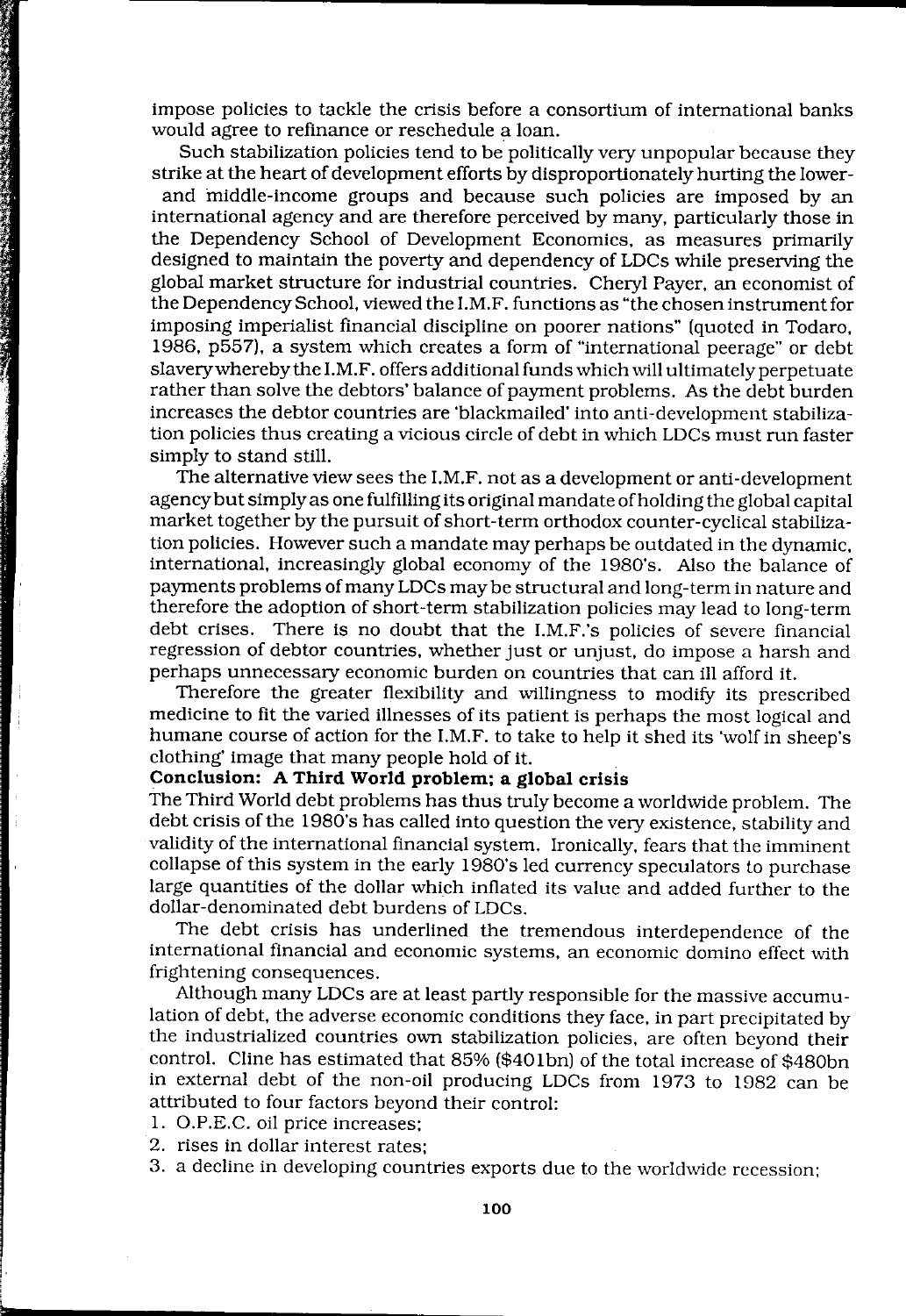impose policies to tackle the crisis before a consortium of international banks would agree to refinance or reschedule a loan.

Such stabilization policies tend to be politically very unpopular because they strike at the heart of development efforts by disproportionately hurting the lower-

and middle-income groups and because such policies are imposed by an international agency and are therefore perceived by many, particularly those in the Dependency School of Development Economics, as measures primarily designed to maintain the poverty and dependency of LDCs while preserving the global market structure for industrial countries. Cheryl Payer, an economist of the Dependency School, viewed the LM.F. functions as "the chosen instrument for imposing imperialist financial discipline on poorer nations" (quoted in Todaro, 1986, p557), a system which creates a form of "international peerage" or debt slavery whereby the LM.F. offers additional funds which will ultimately perpetuate rather than solve the debtors' balance of payment problems. As the debt burden increases the debtor countries are 'blackmailed' into anti-development stabilization policies thus creating a vicious circle of debt in which LDCs must run faster simply to stand still.

The alternative view sees the LM.F. not as a development or anti-development agency but Simply as one fulfilling its original mandate of holding the global capital market together by the pursuit of short-term orthodox counter-cyclical stabilization policies. However such a mandate may perhaps be outdated in the dynamic, international, increasingly global economy of the 1980's. Also the balance of payments problems of many LDCs may be structural and long-term in nature and therefore the adoption of short-term stabilization policies may lead to long-term debt crises. There is no doubt that the I.M.F.'s policies of severe financial regression of debtor countries, whether just or unjust, do impose a harsh and perhaps unnecessary economic burden on countries that can ill afford it.

Therefore the greater flexibility and willingness to modify its prescribed medicine to fit the varied illnesses of its patient is perhaps the most logical and humane course of action for the LM.F. to take to help it shed its 'wolf in sheep's clothing' image that many people hold of it.

#### **Conclusion: A Third World problem; a global crisis**

The Third World debt problems has thus truly become a worldwide problem. The debt crisis of the 1980's has called into question the very existence, stability and validity of the international financial system. Ironically, fears that the imminent collapse of this system in the early 1980's led currency speculators to purchase large quantities of the dollar which inflated its value and added further to the dollar-denominated debt burdens of LDCs.

The debt crisis has underlined the tremendous interdependence of the international financial and economic systems, an economic domino effect with frightening consequences.

Although many LDCs are at least partly responsible for the massive accumulation of debt, the adverse economic conditions they face, in part precipitated by the industrialized countries own stabilization policies, are often beyond their control. Cline has estimated that  $85\%$  (\$401bn) of the total increase of \$480bn in external debt of the non-oil producing LDCs from 1973 to 1982 can be attributed to four factors beyond their control:

1. O.P.E.C. oil price increases;

L

**CONTRACTOR** 

- 2. rises in dollar interest rates;
- 3. a decline in developing countries exports due to the worldwide recession;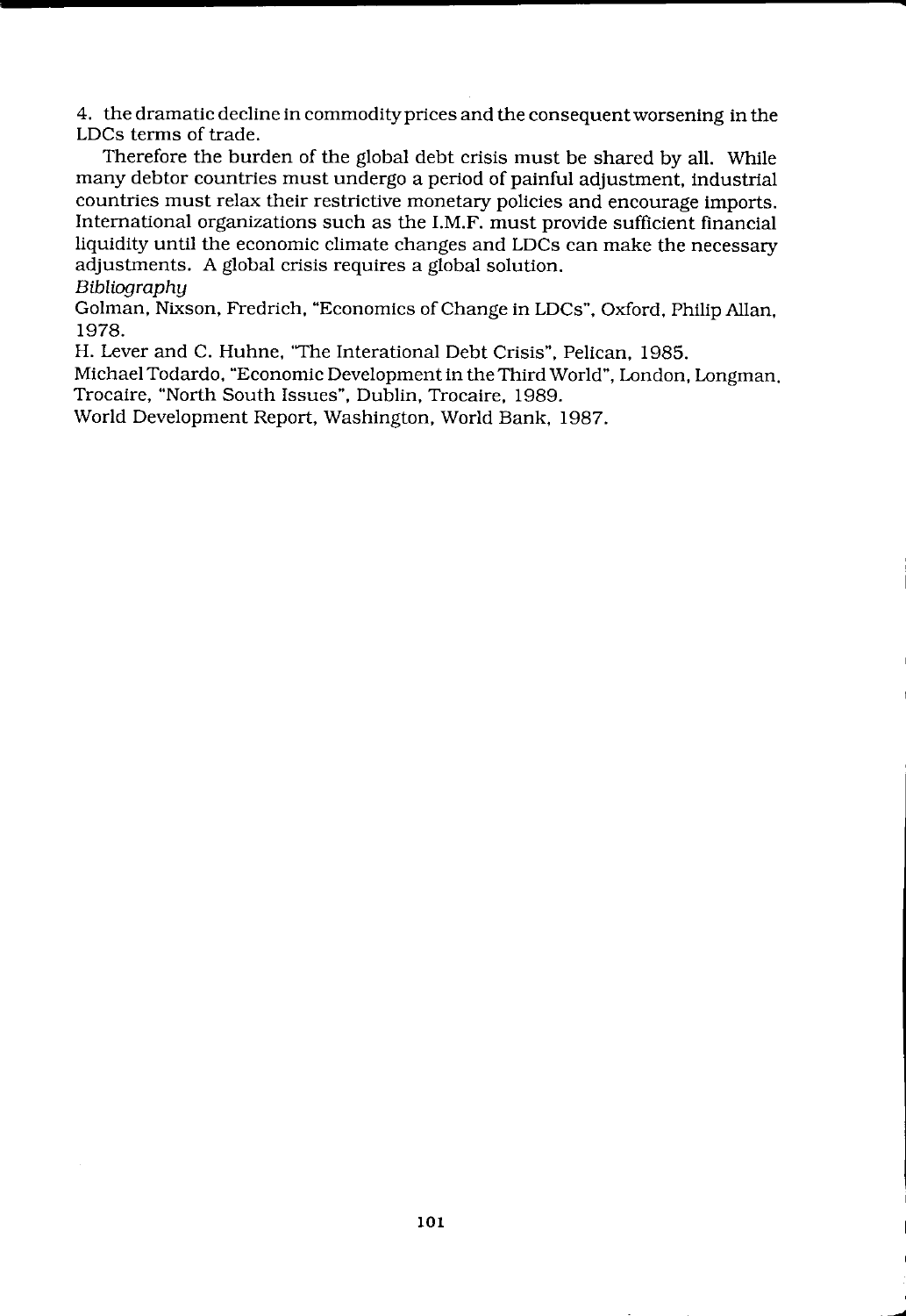4. the dramatic decline in commodity prices and the consequent worsening in the LDCs terms of trade.

Therefore the burden of the global debt crisis must be shared by all. While many debtor countries must undergo a period of painful adjustment, industrial countries must relax their restrictive monetary policies and encourage imports. International organizations such as the I.M.F. must provide sufficient financial liquidity until the economic climate changes and LDCs can make the necessary adjustments. A global crisis requires a global solution.

*Bibliography* 

Golman, Nixson, Fredrich, "Economics of Change in LDCs", Oxford, Philip Allan, 1978.

H. Lever and C. Huhne, "The Interational Debt Crisis", Pelican, 1985.

Michael Todardo, "Economic Developmentin the Third World", London, Longman. Trocaire, "North South Issues", Dublin, Trocaire, 1989.

World Development Report, Washington, World Bank, 1987.

**..**